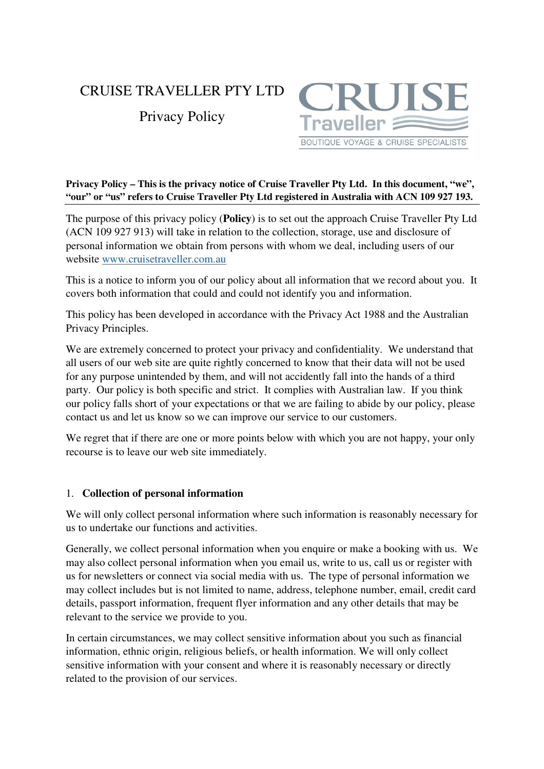# CRUISE TRAVELLER PTY LTD

Privacy Policy



### **Privacy Policy – This is the privacy notice of Cruise Traveller Pty Ltd. In this document, "we", "our" or "us" refers to Cruise Traveller Pty Ltd registered in Australia with ACN 109 927 193.**

The purpose of this privacy policy (**Policy**) is to set out the approach Cruise Traveller Pty Ltd (ACN 109 927 913) will take in relation to the collection, storage, use and disclosure of personal information we obtain from persons with whom we deal, including users of our website www.cruisetraveller.com.au

This is a notice to inform you of our policy about all information that we record about you. It covers both information that could and could not identify you and information.

This policy has been developed in accordance with the Privacy Act 1988 and the Australian Privacy Principles.

We are extremely concerned to protect your privacy and confidentiality. We understand that all users of our web site are quite rightly concerned to know that their data will not be used for any purpose unintended by them, and will not accidently fall into the hands of a third party. Our policy is both specific and strict. It complies with Australian law. If you think our policy falls short of your expectations or that we are failing to abide by our policy, please contact us and let us know so we can improve our service to our customers.

We regret that if there are one or more points below with which you are not happy, your only recourse is to leave our web site immediately.

# 1. **Collection of personal information**

We will only collect personal information where such information is reasonably necessary for us to undertake our functions and activities.

Generally, we collect personal information when you enquire or make a booking with us. We may also collect personal information when you email us, write to us, call us or register with us for newsletters or connect via social media with us. The type of personal information we may collect includes but is not limited to name, address, telephone number, email, credit card details, passport information, frequent flyer information and any other details that may be relevant to the service we provide to you.

In certain circumstances, we may collect sensitive information about you such as financial information, ethnic origin, religious beliefs, or health information. We will only collect sensitive information with your consent and where it is reasonably necessary or directly related to the provision of our services.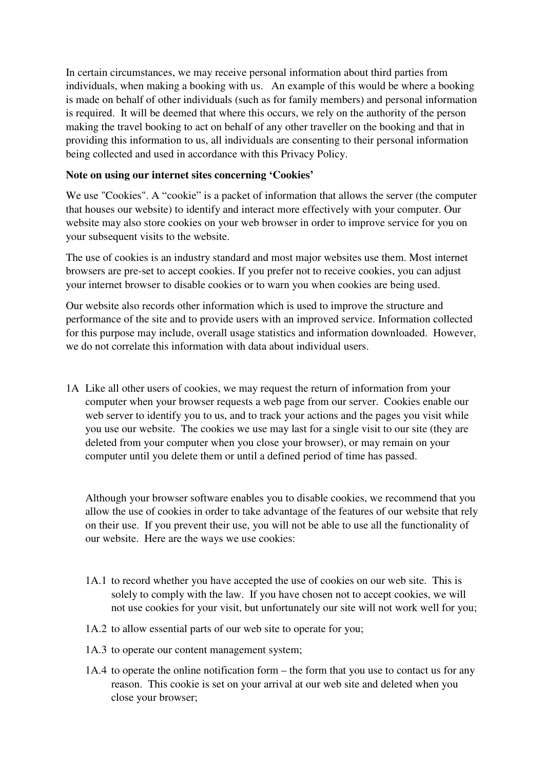In certain circumstances, we may receive personal information about third parties from individuals, when making a booking with us. An example of this would be where a booking is made on behalf of other individuals (such as for family members) and personal information is required. It will be deemed that where this occurs, we rely on the authority of the person making the travel booking to act on behalf of any other traveller on the booking and that in providing this information to us, all individuals are consenting to their personal information being collected and used in accordance with this Privacy Policy.

### **Note on using our internet sites concerning 'Cookies'**

We use "Cookies". A "cookie" is a packet of information that allows the server (the computer that houses our website) to identify and interact more effectively with your computer. Our website may also store cookies on your web browser in order to improve service for you on your subsequent visits to the website.

The use of cookies is an industry standard and most major websites use them. Most internet browsers are pre-set to accept cookies. If you prefer not to receive cookies, you can adjust your internet browser to disable cookies or to warn you when cookies are being used.

Our website also records other information which is used to improve the structure and performance of the site and to provide users with an improved service. Information collected for this purpose may include, overall usage statistics and information downloaded. However, we do not correlate this information with data about individual users.

1A Like all other users of cookies, we may request the return of information from your computer when your browser requests a web page from our server. Cookies enable our web server to identify you to us, and to track your actions and the pages you visit while you use our website. The cookies we use may last for a single visit to our site (they are deleted from your computer when you close your browser), or may remain on your computer until you delete them or until a defined period of time has passed.

Although your browser software enables you to disable cookies, we recommend that you allow the use of cookies in order to take advantage of the features of our website that rely on their use. If you prevent their use, you will not be able to use all the functionality of our website. Here are the ways we use cookies:

- 1A.1 to record whether you have accepted the use of cookies on our web site. This is solely to comply with the law. If you have chosen not to accept cookies, we will not use cookies for your visit, but unfortunately our site will not work well for you;
- 1A.2 to allow essential parts of our web site to operate for you;
- 1A.3 to operate our content management system;
- 1A.4 to operate the online notification form the form that you use to contact us for any reason. This cookie is set on your arrival at our web site and deleted when you close your browser;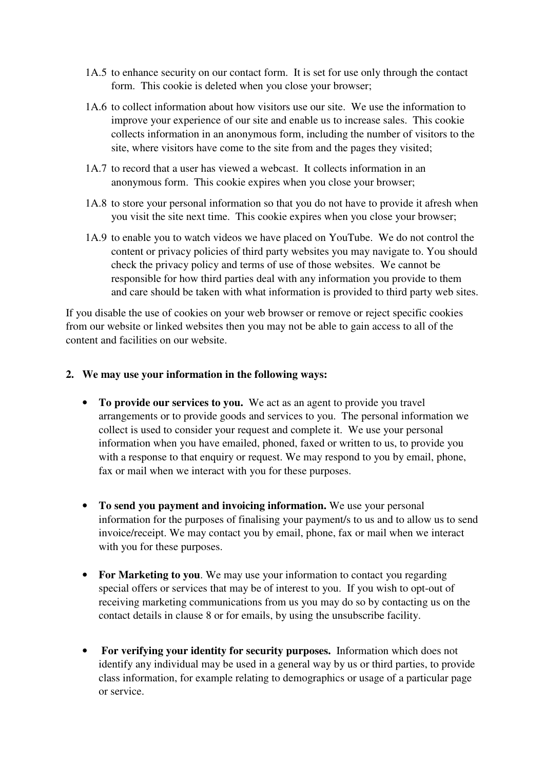- 1A.5 to enhance security on our contact form. It is set for use only through the contact form. This cookie is deleted when you close your browser;
- 1A.6 to collect information about how visitors use our site. We use the information to improve your experience of our site and enable us to increase sales. This cookie collects information in an anonymous form, including the number of visitors to the site, where visitors have come to the site from and the pages they visited;
- 1A.7 to record that a user has viewed a webcast. It collects information in an anonymous form. This cookie expires when you close your browser;
- 1A.8 to store your personal information so that you do not have to provide it afresh when you visit the site next time. This cookie expires when you close your browser;
- 1A.9 to enable you to watch videos we have placed on YouTube. We do not control the content or privacy policies of third party websites you may navigate to. You should check the privacy policy and terms of use of those websites. We cannot be responsible for how third parties deal with any information you provide to them and care should be taken with what information is provided to third party web sites.

If you disable the use of cookies on your web browser or remove or reject specific cookies from our website or linked websites then you may not be able to gain access to all of the content and facilities on our website.

#### **2. We may use your information in the following ways:**

- **To provide our services to you.** We act as an agent to provide you travel arrangements or to provide goods and services to you. The personal information we collect is used to consider your request and complete it. We use your personal information when you have emailed, phoned, faxed or written to us, to provide you with a response to that enquiry or request. We may respond to you by email, phone, fax or mail when we interact with you for these purposes.
- **To send you payment and invoicing information.** We use your personal information for the purposes of finalising your payment/s to us and to allow us to send invoice/receipt. We may contact you by email, phone, fax or mail when we interact with you for these purposes.
- **For Marketing to you**. We may use your information to contact you regarding special offers or services that may be of interest to you. If you wish to opt-out of receiving marketing communications from us you may do so by contacting us on the contact details in clause 8 or for emails, by using the unsubscribe facility.
- • **For verifying your identity for security purposes.** Information which does not identify any individual may be used in a general way by us or third parties, to provide class information, for example relating to demographics or usage of a particular page or service.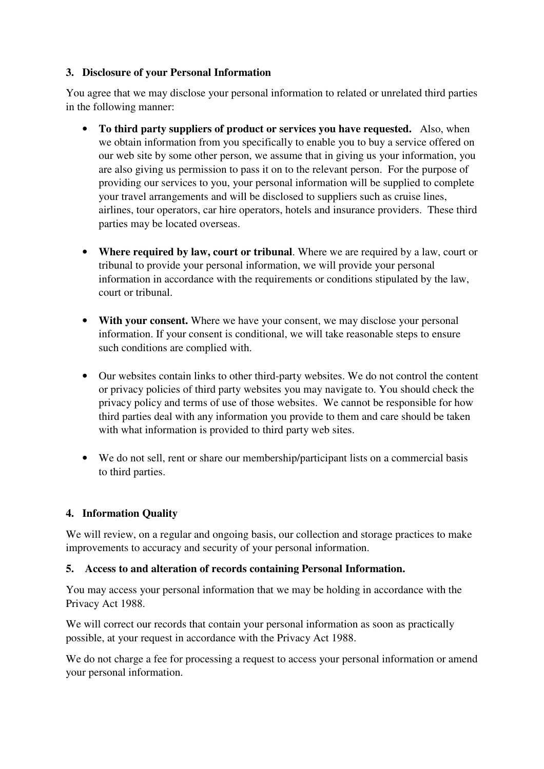# **3. Disclosure of your Personal Information**

You agree that we may disclose your personal information to related or unrelated third parties in the following manner:

- **To third party suppliers of product or services you have requested.** Also, when we obtain information from you specifically to enable you to buy a service offered on our web site by some other person, we assume that in giving us your information, you are also giving us permission to pass it on to the relevant person. For the purpose of providing our services to you, your personal information will be supplied to complete your travel arrangements and will be disclosed to suppliers such as cruise lines, airlines, tour operators, car hire operators, hotels and insurance providers. These third parties may be located overseas.
- **Where required by law, court or tribunal**. Where we are required by a law, court or tribunal to provide your personal information, we will provide your personal information in accordance with the requirements or conditions stipulated by the law, court or tribunal.
- **With your consent.** Where we have your consent, we may disclose your personal information. If your consent is conditional, we will take reasonable steps to ensure such conditions are complied with.
- Our websites contain links to other third-party websites. We do not control the content or privacy policies of third party websites you may navigate to. You should check the privacy policy and terms of use of those websites. We cannot be responsible for how third parties deal with any information you provide to them and care should be taken with what information is provided to third party web sites.
- We do not sell, rent or share our membership/participant lists on a commercial basis to third parties.

# **4. Information Quality**

We will review, on a regular and ongoing basis, our collection and storage practices to make improvements to accuracy and security of your personal information.

## **5. Access to and alteration of records containing Personal Information.**

You may access your personal information that we may be holding in accordance with the Privacy Act 1988.

We will correct our records that contain your personal information as soon as practically possible, at your request in accordance with the Privacy Act 1988.

We do not charge a fee for processing a request to access your personal information or amend your personal information.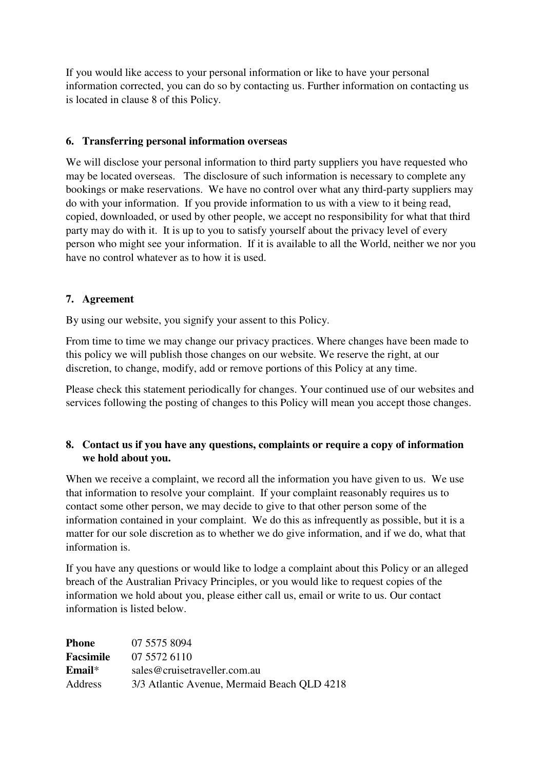If you would like access to your personal information or like to have your personal information corrected, you can do so by contacting us. Further information on contacting us is located in clause 8 of this Policy.

# **6. Transferring personal information overseas**

We will disclose your personal information to third party suppliers you have requested who may be located overseas. The disclosure of such information is necessary to complete any bookings or make reservations. We have no control over what any third-party suppliers may do with your information. If you provide information to us with a view to it being read, copied, downloaded, or used by other people, we accept no responsibility for what that third party may do with it. It is up to you to satisfy yourself about the privacy level of every person who might see your information. If it is available to all the World, neither we nor you have no control whatever as to how it is used.

## **7. Agreement**

By using our website, you signify your assent to this Policy.

From time to time we may change our privacy practices. Where changes have been made to this policy we will publish those changes on our website. We reserve the right, at our discretion, to change, modify, add or remove portions of this Policy at any time.

Please check this statement periodically for changes. Your continued use of our websites and services following the posting of changes to this Policy will mean you accept those changes.

# **8. Contact us if you have any questions, complaints or require a copy of information we hold about you.**

When we receive a complaint, we record all the information you have given to us. We use that information to resolve your complaint. If your complaint reasonably requires us to contact some other person, we may decide to give to that other person some of the information contained in your complaint. We do this as infrequently as possible, but it is a matter for our sole discretion as to whether we do give information, and if we do, what that information is.

If you have any questions or would like to lodge a complaint about this Policy or an alleged breach of the Australian Privacy Principles, or you would like to request copies of the information we hold about you, please either call us, email or write to us. Our contact information is listed below.

| <b>Phone</b>     | 07 5575 8094                                |
|------------------|---------------------------------------------|
| <b>Facsimile</b> | 07 5572 6110                                |
| $Email*$         | sales@cruisetraveller.com.au                |
| Address          | 3/3 Atlantic Avenue, Mermaid Beach QLD 4218 |